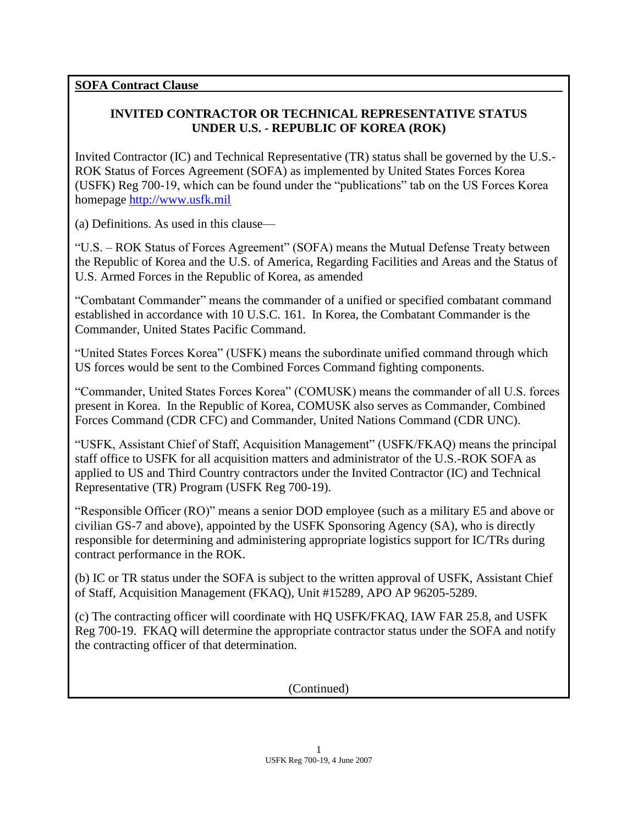**SOFA Contract Clause**

## **INVITED CONTRACTOR OR TECHNICAL REPRESENTATIVE STATUS UNDER U.S. - REPUBLIC OF KOREA (ROK)**

Invited Contractor (IC) and Technical Representative (TR) status shall be governed by the U.S.- ROK Status of Forces Agreement (SOFA) as implemented by United States Forces Korea (USFK) Reg 700-19, which can be found under the "publications" tab on the US Forces Korea homepage [http://www.usfk.mil](http://www.usfk.mil/)

(a) Definitions. As used in this clause—

"U.S. – ROK Status of Forces Agreement" (SOFA) means the Mutual Defense Treaty between the Republic of Korea and the U.S. of America, Regarding Facilities and Areas and the Status of U.S. Armed Forces in the Republic of Korea, as amended

"Combatant Commander" means the commander of a unified or specified combatant command established in accordance with 10 U.S.C. 161. In Korea, the Combatant Commander is the Commander, United States Pacific Command.

"United States Forces Korea" (USFK) means the subordinate unified command through which US forces would be sent to the Combined Forces Command fighting components.

"Commander, United States Forces Korea" (COMUSK) means the commander of all U.S. forces present in Korea. In the Republic of Korea, COMUSK also serves as Commander, Combined Forces Command (CDR CFC) and Commander, United Nations Command (CDR UNC).

"USFK, Assistant Chief of Staff, Acquisition Management" (USFK/FKAQ) means the principal staff office to USFK for all acquisition matters and administrator of the U.S.-ROK SOFA as applied to US and Third Country contractors under the Invited Contractor (IC) and Technical Representative (TR) Program (USFK Reg 700-19).

"Responsible Officer (RO)" means a senior DOD employee (such as a military E5 and above or civilian GS-7 and above), appointed by the USFK Sponsoring Agency (SA), who is directly responsible for determining and administering appropriate logistics support for IC/TRs during contract performance in the ROK.

(b) IC or TR status under the SOFA is subject to the written approval of USFK, Assistant Chief of Staff, Acquisition Management (FKAQ), Unit #15289, APO AP 96205-5289.

(c) The contracting officer will coordinate with HQ USFK/FKAQ, IAW FAR 25.8, and USFK Reg 700-19. FKAQ will determine the appropriate contractor status under the SOFA and notify the contracting officer of that determination.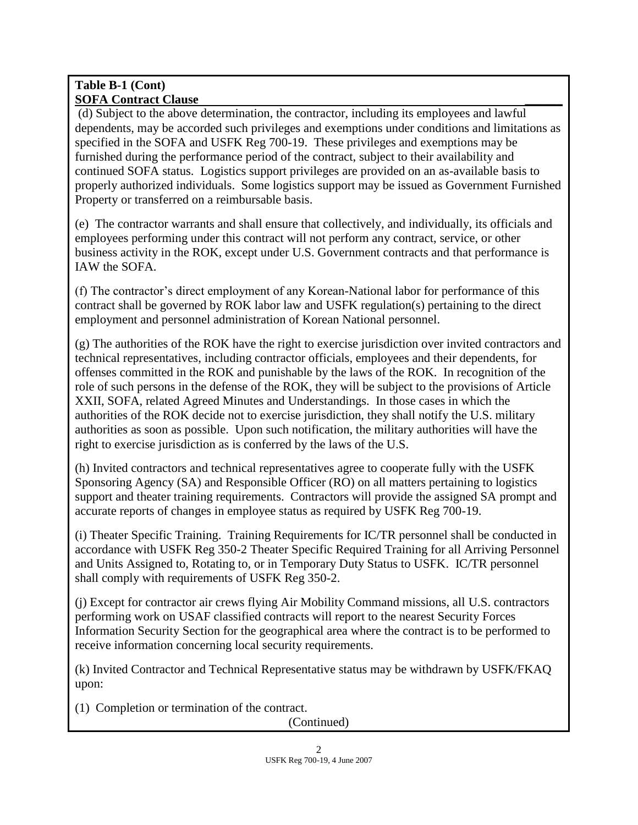(d) Subject to the above determination, the contractor, including its employees and lawful dependents, may be accorded such privileges and exemptions under conditions and limitations as specified in the SOFA and USFK Reg 700-19. These privileges and exemptions may be furnished during the performance period of the contract, subject to their availability and continued SOFA status. Logistics support privileges are provided on an as-available basis to properly authorized individuals. Some logistics support may be issued as Government Furnished Property or transferred on a reimbursable basis.

(e) The contractor warrants and shall ensure that collectively, and individually, its officials and employees performing under this contract will not perform any contract, service, or other business activity in the ROK, except under U.S. Government contracts and that performance is IAW the SOFA.

(f) The contractor's direct employment of any Korean-National labor for performance of this contract shall be governed by ROK labor law and USFK regulation(s) pertaining to the direct employment and personnel administration of Korean National personnel.

(g) The authorities of the ROK have the right to exercise jurisdiction over invited contractors and technical representatives, including contractor officials, employees and their dependents, for offenses committed in the ROK and punishable by the laws of the ROK. In recognition of the role of such persons in the defense of the ROK, they will be subject to the provisions of Article XXII, SOFA, related Agreed Minutes and Understandings. In those cases in which the authorities of the ROK decide not to exercise jurisdiction, they shall notify the U.S. military authorities as soon as possible. Upon such notification, the military authorities will have the right to exercise jurisdiction as is conferred by the laws of the U.S.

(h) Invited contractors and technical representatives agree to cooperate fully with the USFK Sponsoring Agency (SA) and Responsible Officer (RO) on all matters pertaining to logistics support and theater training requirements. Contractors will provide the assigned SA prompt and accurate reports of changes in employee status as required by USFK Reg 700-19.

(i) Theater Specific Training. Training Requirements for IC/TR personnel shall be conducted in accordance with USFK Reg 350-2 Theater Specific Required Training for all Arriving Personnel and Units Assigned to, Rotating to, or in Temporary Duty Status to USFK. IC/TR personnel shall comply with requirements of USFK Reg 350-2.

(j) Except for contractor air crews flying Air Mobility Command missions, all U.S. contractors performing work on USAF classified contracts will report to the nearest Security Forces Information Security Section for the geographical area where the contract is to be performed to receive information concerning local security requirements.

(k) Invited Contractor and Technical Representative status may be withdrawn by USFK/FKAQ upon:

(1) Completion or termination of the contract.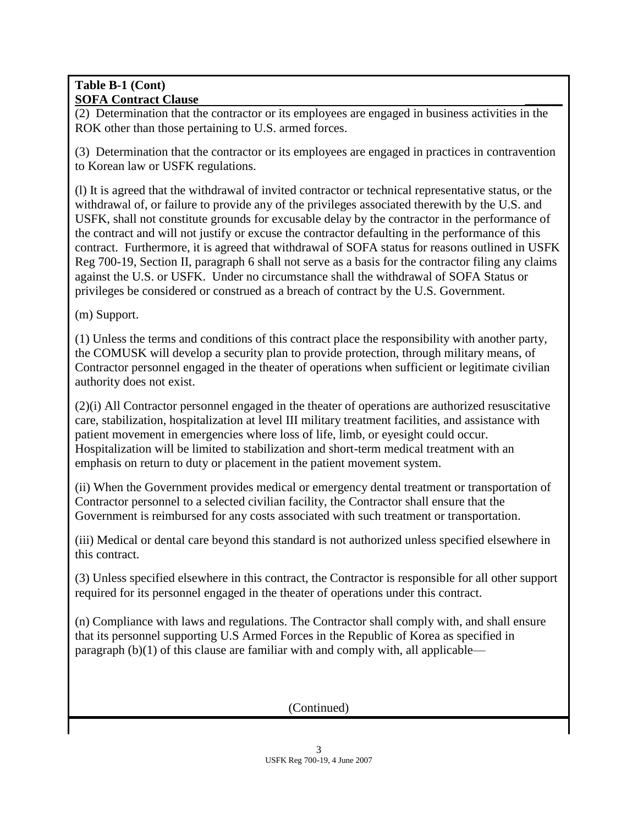(2) Determination that the contractor or its employees are engaged in business activities in the ROK other than those pertaining to U.S. armed forces.

(3) Determination that the contractor or its employees are engaged in practices in contravention to Korean law or USFK regulations.

(l) It is agreed that the withdrawal of invited contractor or technical representative status, or the withdrawal of, or failure to provide any of the privileges associated therewith by the U.S. and USFK, shall not constitute grounds for excusable delay by the contractor in the performance of the contract and will not justify or excuse the contractor defaulting in the performance of this contract. Furthermore, it is agreed that withdrawal of SOFA status for reasons outlined in USFK Reg 700-19, Section II, paragraph 6 shall not serve as a basis for the contractor filing any claims against the U.S. or USFK. Under no circumstance shall the withdrawal of SOFA Status or privileges be considered or construed as a breach of contract by the U.S. Government.

(m) Support.

(1) Unless the terms and conditions of this contract place the responsibility with another party, the COMUSK will develop a security plan to provide protection, through military means, of Contractor personnel engaged in the theater of operations when sufficient or legitimate civilian authority does not exist.

(2)(i) All Contractor personnel engaged in the theater of operations are authorized resuscitative care, stabilization, hospitalization at level III military treatment facilities, and assistance with patient movement in emergencies where loss of life, limb, or eyesight could occur. Hospitalization will be limited to stabilization and short-term medical treatment with an emphasis on return to duty or placement in the patient movement system.

(ii) When the Government provides medical or emergency dental treatment or transportation of Contractor personnel to a selected civilian facility, the Contractor shall ensure that the Government is reimbursed for any costs associated with such treatment or transportation.

(iii) Medical or dental care beyond this standard is not authorized unless specified elsewhere in this contract.

(3) Unless specified elsewhere in this contract, the Contractor is responsible for all other support required for its personnel engaged in the theater of operations under this contract.

(n) Compliance with laws and regulations. The Contractor shall comply with, and shall ensure that its personnel supporting U.S Armed Forces in the Republic of Korea as specified in paragraph (b)(1) of this clause are familiar with and comply with, all applicable—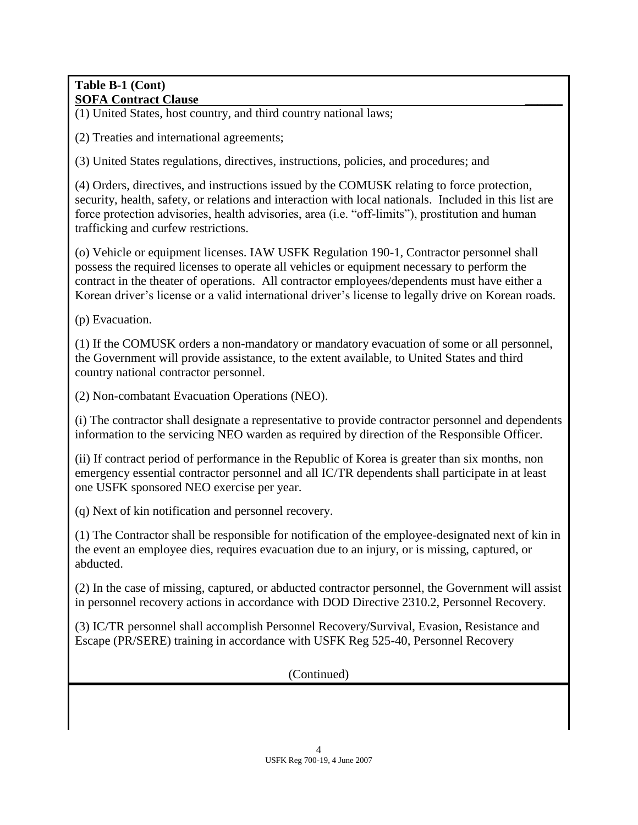(1) United States, host country, and third country national laws;

(2) Treaties and international agreements;

(3) United States regulations, directives, instructions, policies, and procedures; and

(4) Orders, directives, and instructions issued by the COMUSK relating to force protection, security, health, safety, or relations and interaction with local nationals. Included in this list are force protection advisories, health advisories, area (i.e. "off-limits"), prostitution and human trafficking and curfew restrictions.

(o) Vehicle or equipment licenses. IAW USFK Regulation 190-1, Contractor personnel shall possess the required licenses to operate all vehicles or equipment necessary to perform the contract in the theater of operations. All contractor employees/dependents must have either a Korean driver's license or a valid international driver's license to legally drive on Korean roads.

(p) Evacuation.

(1) If the COMUSK orders a non-mandatory or mandatory evacuation of some or all personnel, the Government will provide assistance, to the extent available, to United States and third country national contractor personnel.

(2) Non-combatant Evacuation Operations (NEO).

(i) The contractor shall designate a representative to provide contractor personnel and dependents information to the servicing NEO warden as required by direction of the Responsible Officer.

(ii) If contract period of performance in the Republic of Korea is greater than six months, non emergency essential contractor personnel and all IC/TR dependents shall participate in at least one USFK sponsored NEO exercise per year.

(q) Next of kin notification and personnel recovery.

(1) The Contractor shall be responsible for notification of the employee-designated next of kin in the event an employee dies, requires evacuation due to an injury, or is missing, captured, or abducted.

(2) In the case of missing, captured, or abducted contractor personnel, the Government will assist in personnel recovery actions in accordance with DOD Directive 2310.2, Personnel Recovery.

(3) IC/TR personnel shall accomplish Personnel Recovery/Survival, Evasion, Resistance and Escape (PR/SERE) training in accordance with USFK Reg 525-40, Personnel Recovery